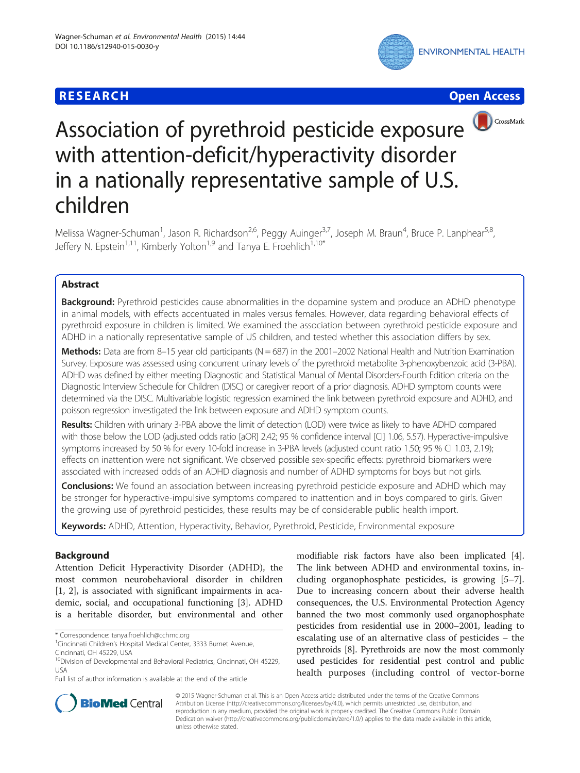





# Association of pyrethroid pesticide exposure with attention-deficit/hyperactivity disorder in a nationally representative sample of U.S. children

Melissa Wagner-Schuman<sup>1</sup>, Jason R. Richardson<sup>2,6</sup>, Peggy Auinger<sup>3,7</sup>, Joseph M. Braun<sup>4</sup>, Bruce P. Lanphear<sup>5,8</sup>, Jeffery N. Epstein<sup>1,11</sup>, Kimberly Yolton<sup>1,9</sup> and Tanya E. Froehlich<sup>1,10\*</sup>

# Abstract

Background: Pyrethroid pesticides cause abnormalities in the dopamine system and produce an ADHD phenotype in animal models, with effects accentuated in males versus females. However, data regarding behavioral effects of pyrethroid exposure in children is limited. We examined the association between pyrethroid pesticide exposure and ADHD in a nationally representative sample of US children, and tested whether this association differs by sex.

Methods: Data are from 8–15 year old participants ( $N = 687$ ) in the 2001–2002 National Health and Nutrition Examination Survey. Exposure was assessed using concurrent urinary levels of the pyrethroid metabolite 3-phenoxybenzoic acid (3-PBA). ADHD was defined by either meeting Diagnostic and Statistical Manual of Mental Disorders-Fourth Edition criteria on the Diagnostic Interview Schedule for Children (DISC) or caregiver report of a prior diagnosis. ADHD symptom counts were determined via the DISC. Multivariable logistic regression examined the link between pyrethroid exposure and ADHD, and poisson regression investigated the link between exposure and ADHD symptom counts.

Results: Children with urinary 3-PBA above the limit of detection (LOD) were twice as likely to have ADHD compared with those below the LOD (adjusted odds ratio [aOR] 2.42; 95 % confidence interval [CI] 1.06, 5.57). Hyperactive-impulsive symptoms increased by 50 % for every 10-fold increase in 3-PBA levels (adjusted count ratio 1.50; 95 % CI 1.03, 2.19); effects on inattention were not significant. We observed possible sex-specific effects: pyrethroid biomarkers were associated with increased odds of an ADHD diagnosis and number of ADHD symptoms for boys but not girls.

**Conclusions:** We found an association between increasing pyrethroid pesticide exposure and ADHD which may be stronger for hyperactive-impulsive symptoms compared to inattention and in boys compared to girls. Given the growing use of pyrethroid pesticides, these results may be of considerable public health import.

Keywords: ADHD, Attention, Hyperactivity, Behavior, Pyrethroid, Pesticide, Environmental exposure

# Background

Attention Deficit Hyperactivity Disorder (ADHD), the most common neurobehavioral disorder in children [[1, 2\]](#page-7-0), is associated with significant impairments in academic, social, and occupational functioning [\[3](#page-7-0)]. ADHD is a heritable disorder, but environmental and other

\* Correspondence: [tanya.froehlich@cchmc.org](mailto:tanya.froehlich@cchmc.org) <sup>1</sup>

modifiable risk factors have also been implicated [\[4](#page-7-0)]. The link between ADHD and environmental toxins, including organophosphate pesticides, is growing [\[5](#page-7-0)–[7](#page-8-0)]. Due to increasing concern about their adverse health consequences, the U.S. Environmental Protection Agency banned the two most commonly used organophosphate pesticides from residential use in 2000–2001, leading to escalating use of an alternative class of pesticides – the pyrethroids [[8\]](#page-8-0). Pyrethroids are now the most commonly used pesticides for residential pest control and public health purposes (including control of vector-borne



© 2015 Wagner-Schuman et al. This is an Open Access article distributed under the terms of the Creative Commons Attribution License (<http://creativecommons.org/licenses/by/4.0>), which permits unrestricted use, distribution, and reproduction in any medium, provided the original work is properly credited. The Creative Commons Public Domain Dedication waiver [\(http://creativecommons.org/publicdomain/zero/1.0/](http://creativecommons.org/publicdomain/zero/1.0/)) applies to the data made available in this article, unless otherwise stated.

<sup>&</sup>lt;sup>1</sup> Cincinnati Children's Hospital Medical Center, 3333 Burnet Avenue, Cincinnati, OH 45229, USA

<sup>&</sup>lt;sup>10</sup>Division of Developmental and Behavioral Pediatrics, Cincinnati, OH 45229, USA

Full list of author information is available at the end of the article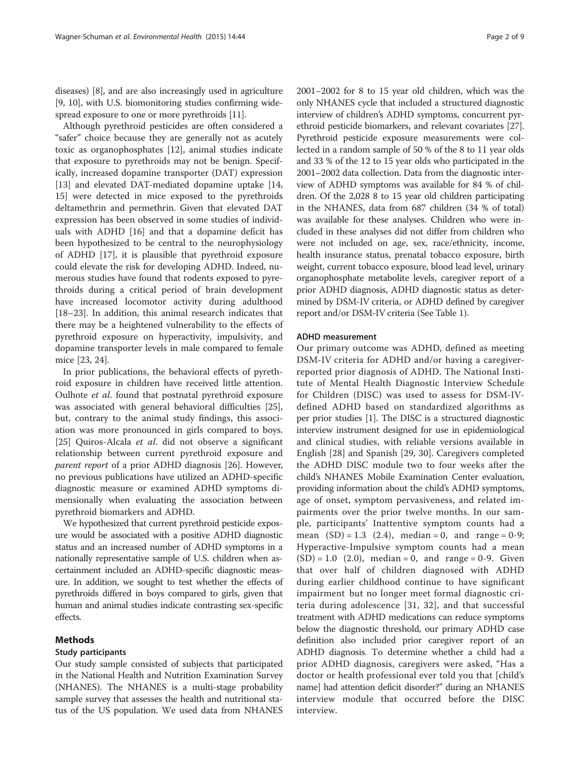diseases) [\[8\]](#page-8-0), and are also increasingly used in agriculture [[9, 10\]](#page-8-0), with U.S. biomonitoring studies confirming widespread exposure to one or more pyrethroids [\[11\]](#page-8-0).

Although pyrethroid pesticides are often considered a "safer" choice because they are generally not as acutely toxic as organophosphates [[12\]](#page-8-0), animal studies indicate that exposure to pyrethroids may not be benign. Specifically, increased dopamine transporter (DAT) expression [[13\]](#page-8-0) and elevated DAT-mediated dopamine uptake [[14](#page-8-0), [15\]](#page-8-0) were detected in mice exposed to the pyrethroids deltamethrin and permethrin. Given that elevated DAT expression has been observed in some studies of individuals with ADHD [\[16\]](#page-8-0) and that a dopamine deficit has been hypothesized to be central to the neurophysiology of ADHD [[17](#page-8-0)], it is plausible that pyrethroid exposure could elevate the risk for developing ADHD. Indeed, numerous studies have found that rodents exposed to pyrethroids during a critical period of brain development have increased locomotor activity during adulthood [[18](#page-8-0)–[23](#page-8-0)]. In addition, this animal research indicates that there may be a heightened vulnerability to the effects of pyrethroid exposure on hyperactivity, impulsivity, and dopamine transporter levels in male compared to female mice [\[23](#page-8-0), [24](#page-8-0)].

In prior publications, the behavioral effects of pyrethroid exposure in children have received little attention. Oulhote et al. found that postnatal pyrethroid exposure was associated with general behavioral difficulties [\[25](#page-8-0)], but, contrary to the animal study findings, this association was more pronounced in girls compared to boys. [[25\]](#page-8-0) Quiros-Alcala et al. did not observe a significant relationship between current pyrethroid exposure and parent report of a prior ADHD diagnosis [[26\]](#page-8-0). However, no previous publications have utilized an ADHD-specific diagnostic measure or examined ADHD symptoms dimensionally when evaluating the association between pyrethroid biomarkers and ADHD.

We hypothesized that current pyrethroid pesticide exposure would be associated with a positive ADHD diagnostic status and an increased number of ADHD symptoms in a nationally representative sample of U.S. children when ascertainment included an ADHD-specific diagnostic measure. In addition, we sought to test whether the effects of pyrethroids differed in boys compared to girls, given that human and animal studies indicate contrasting sex-specific effects.

# Methods

# Study participants

Our study sample consisted of subjects that participated in the National Health and Nutrition Examination Survey (NHANES). The NHANES is a multi-stage probability sample survey that assesses the health and nutritional status of the US population. We used data from NHANES 2001–2002 for 8 to 15 year old children, which was the only NHANES cycle that included a structured diagnostic interview of children's ADHD symptoms, concurrent pyrethroid pesticide biomarkers, and relevant covariates [[27](#page-8-0)]. Pyrethroid pesticide exposure measurements were collected in a random sample of 50 % of the 8 to 11 year olds and 33 % of the 12 to 15 year olds who participated in the 2001–2002 data collection. Data from the diagnostic interview of ADHD symptoms was available for 84 % of children. Of the 2,028 8 to 15 year old children participating in the NHANES, data from 687 children (34 % of total) was available for these analyses. Children who were included in these analyses did not differ from children who were not included on age, sex, race/ethnicity, income, health insurance status, prenatal tobacco exposure, birth weight, current tobacco exposure, blood lead level, urinary organophosphate metabolite levels, caregiver report of a prior ADHD diagnosis, ADHD diagnostic status as determined by DSM-IV criteria, or ADHD defined by caregiver report and/or DSM-IV criteria (See Table [1](#page-2-0)).

# ADHD measurement

Our primary outcome was ADHD, defined as meeting DSM-IV criteria for ADHD and/or having a caregiverreported prior diagnosis of ADHD. The National Institute of Mental Health Diagnostic Interview Schedule for Children (DISC) was used to assess for DSM-IVdefined ADHD based on standardized algorithms as per prior studies [\[1](#page-7-0)]. The DISC is a structured diagnostic interview instrument designed for use in epidemiological and clinical studies, with reliable versions available in English [[28](#page-8-0)] and Spanish [[29, 30](#page-8-0)]. Caregivers completed the ADHD DISC module two to four weeks after the child's NHANES Mobile Examination Center evaluation, providing information about the child's ADHD symptoms, age of onset, symptom pervasiveness, and related impairments over the prior twelve months. In our sample, participants' Inattentive symptom counts had a mean  $(SD) = 1.3$  (2.4), median = 0, and range = 0-9; Hyperactive-Impulsive symptom counts had a mean  $(SD) = 1.0$  (2.0), median = 0, and range = 0-9. Given that over half of children diagnosed with ADHD during earlier childhood continue to have significant impairment but no longer meet formal diagnostic criteria during adolescence [\[31, 32](#page-8-0)], and that successful treatment with ADHD medications can reduce symptoms below the diagnostic threshold, our primary ADHD case definition also included prior caregiver report of an ADHD diagnosis. To determine whether a child had a prior ADHD diagnosis, caregivers were asked, "Has a doctor or health professional ever told you that [child's name] had attention deficit disorder?" during an NHANES interview module that occurred before the DISC interview.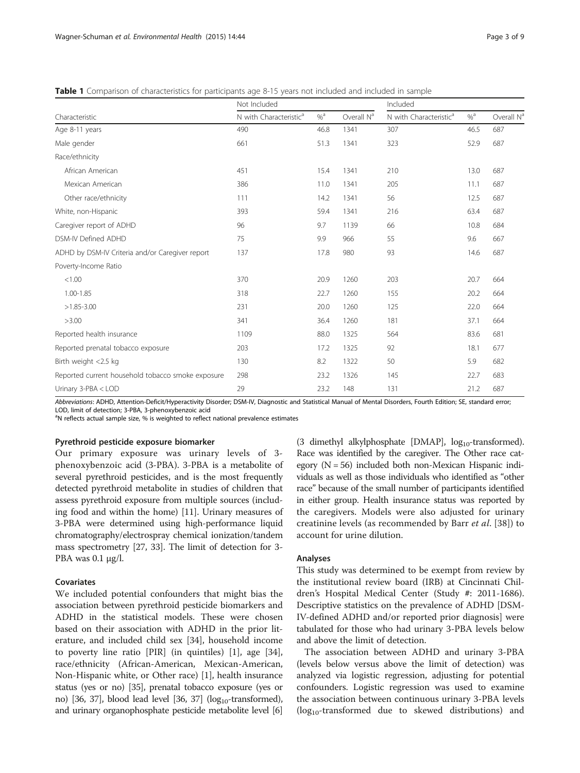<span id="page-2-0"></span>

|  |  | Table 1 Comparison of characteristics for participants age 8-15 years not included and included in sample |  |  |  |  |  |  |
|--|--|-----------------------------------------------------------------------------------------------------------|--|--|--|--|--|--|
|--|--|-----------------------------------------------------------------------------------------------------------|--|--|--|--|--|--|

|                                                   | Not Included                       |                   |                        | Included                           |                   |                        |
|---------------------------------------------------|------------------------------------|-------------------|------------------------|------------------------------------|-------------------|------------------------|
| Characteristic                                    | N with Characteristic <sup>a</sup> | $\%$ <sup>a</sup> | Overall N <sup>a</sup> | N with Characteristic <sup>a</sup> | $\%$ <sup>a</sup> | Overall N <sup>a</sup> |
| Age 8-11 years                                    | 490                                | 46.8              | 1341                   | 307                                | 46.5              | 687                    |
| Male gender                                       | 661                                | 51.3              | 1341                   | 323                                | 52.9              | 687                    |
| Race/ethnicity                                    |                                    |                   |                        |                                    |                   |                        |
| African American                                  | 451                                | 15.4              | 1341                   | 210                                | 13.0              | 687                    |
| Mexican American                                  | 386                                | 11.0              | 1341                   | 205                                | 11.1              | 687                    |
| Other race/ethnicity                              | 111                                | 14.2              | 1341                   | 56                                 | 12.5              | 687                    |
| White, non-Hispanic                               | 393                                | 59.4              | 1341                   | 216                                | 63.4              | 687                    |
| Caregiver report of ADHD                          | 96                                 | 9.7               | 1139                   | 66                                 | 10.8              | 684                    |
| DSM-IV Defined ADHD                               | 75                                 | 9.9               | 966                    | 55                                 | 9.6               | 667                    |
| ADHD by DSM-IV Criteria and/or Caregiver report   | 137                                | 17.8              | 980                    | 93                                 | 14.6              | 687                    |
| Poverty-Income Ratio                              |                                    |                   |                        |                                    |                   |                        |
| < 1.00                                            | 370                                | 20.9              | 1260                   | 203                                | 20.7              | 664                    |
| 1.00-1.85                                         | 318                                | 22.7              | 1260                   | 155                                | 20.2              | 664                    |
| $>1.85 - 3.00$                                    | 231                                | 20.0              | 1260                   | 125                                | 22.0              | 664                    |
| >3.00                                             | 341                                | 36.4              | 1260                   | 181                                | 37.1              | 664                    |
| Reported health insurance                         | 1109                               | 88.0              | 1325                   | 564                                | 83.6              | 681                    |
| Reported prenatal tobacco exposure                | 203                                | 17.2              | 1325                   | 92                                 | 18.1              | 677                    |
| Birth weight <2.5 kg                              | 130                                | 8.2               | 1322                   | 50                                 | 5.9               | 682                    |
| Reported current household tobacco smoke exposure | 298                                | 23.2              | 1326                   | 145                                | 22.7              | 683                    |
| Urinary 3-PBA < LOD                               | 29                                 | 23.2              | 148                    | 131                                | 21.2              | 687                    |

Abbreviations: ADHD, Attention-Deficit/Hyperactivity Disorder; DSM-IV, Diagnostic and Statistical Manual of Mental Disorders, Fourth Edition; SE, standard error; LOD, limit of detection; 3-PBA, 3-phenoxybenzoic acid

<sup>a</sup>N reflects actual sample size, % is weighted to reflect national prevalence estimates

# Pyrethroid pesticide exposure biomarker

Our primary exposure was urinary levels of 3 phenoxybenzoic acid (3-PBA). 3-PBA is a metabolite of several pyrethroid pesticides, and is the most frequently detected pyrethroid metabolite in studies of children that assess pyrethroid exposure from multiple sources (including food and within the home) [\[11](#page-8-0)]. Urinary measures of 3-PBA were determined using high-performance liquid chromatography/electrospray chemical ionization/tandem mass spectrometry [[27](#page-8-0), [33](#page-8-0)]. The limit of detection for 3- PBA was 0.1 μg/l.

# Covariates

We included potential confounders that might bias the association between pyrethroid pesticide biomarkers and ADHD in the statistical models. These were chosen based on their association with ADHD in the prior literature, and included child sex [[34\]](#page-8-0), household income to poverty line ratio [PIR] (in quintiles) [\[1](#page-7-0)], age [\[34](#page-8-0)], race/ethnicity (African-American, Mexican-American, Non-Hispanic white, or Other race) [[1\]](#page-7-0), health insurance status (yes or no) [\[35](#page-8-0)], prenatal tobacco exposure (yes or no) [[36](#page-8-0), [37\]](#page-8-0), blood lead level [36, 37] ( $log_{10}$ -transformed), and urinary organophosphate pesticide metabolite level [[6](#page-8-0)]

(3 dimethyl alkylphosphate [DMAP],  $log_{10}$ -transformed). Race was identified by the caregiver. The Other race category (N = 56) included both non-Mexican Hispanic individuals as well as those individuals who identified as "other race" because of the small number of participants identified in either group. Health insurance status was reported by the caregivers. Models were also adjusted for urinary creatinine levels (as recommended by Barr et al. [[38\]](#page-8-0)) to account for urine dilution.

# Analyses

This study was determined to be exempt from review by the institutional review board (IRB) at Cincinnati Children's Hospital Medical Center (Study #: 2011-1686). Descriptive statistics on the prevalence of ADHD [DSM-IV-defined ADHD and/or reported prior diagnosis] were tabulated for those who had urinary 3-PBA levels below and above the limit of detection.

The association between ADHD and urinary 3-PBA (levels below versus above the limit of detection) was analyzed via logistic regression, adjusting for potential confounders. Logistic regression was used to examine the association between continuous urinary 3-PBA levels  $(log_{10}$ -transformed due to skewed distributions) and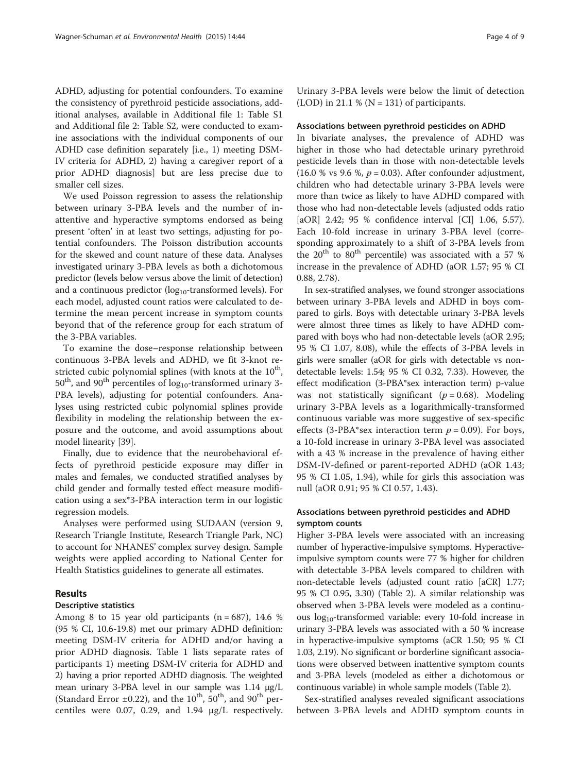ADHD, adjusting for potential confounders. To examine the consistency of pyrethroid pesticide associations, additional analyses, available in Additional file [1:](#page-7-0) Table S1 and Additional file [2:](#page-7-0) Table S2, were conducted to examine associations with the individual components of our ADHD case definition separately [i.e., 1) meeting DSM-IV criteria for ADHD, 2) having a caregiver report of a prior ADHD diagnosis] but are less precise due to smaller cell sizes.

We used Poisson regression to assess the relationship between urinary 3-PBA levels and the number of inattentive and hyperactive symptoms endorsed as being present 'often' in at least two settings, adjusting for potential confounders. The Poisson distribution accounts for the skewed and count nature of these data. Analyses investigated urinary 3-PBA levels as both a dichotomous predictor (levels below versus above the limit of detection) and a continuous predictor ( $log_{10}$ -transformed levels). For each model, adjusted count ratios were calculated to determine the mean percent increase in symptom counts beyond that of the reference group for each stratum of the 3-PBA variables.

To examine the dose–response relationship between continuous 3-PBA levels and ADHD, we fit 3-knot restricted cubic polynomial splines (with knots at the  $10<sup>th</sup>$ ,  $50<sup>th</sup>$ , and  $90<sup>th</sup>$  percentiles of  $log_{10}$ -transformed urinary 3-PBA levels), adjusting for potential confounders. Analyses using restricted cubic polynomial splines provide flexibility in modeling the relationship between the exposure and the outcome, and avoid assumptions about model linearity [\[39](#page-8-0)].

Finally, due to evidence that the neurobehavioral effects of pyrethroid pesticide exposure may differ in males and females, we conducted stratified analyses by child gender and formally tested effect measure modification using a sex\*3-PBA interaction term in our logistic regression models.

Analyses were performed using SUDAAN (version 9, Research Triangle Institute, Research Triangle Park, NC) to account for NHANES' complex survey design. Sample weights were applied according to National Center for Health Statistics guidelines to generate all estimates.

# Results

# Descriptive statistics

Among 8 to 15 year old participants  $(n = 687)$ , 14.6 % (95 % CI, 10.6-19.8) met our primary ADHD definition: meeting DSM-IV criteria for ADHD and/or having a prior ADHD diagnosis. Table [1](#page-2-0) lists separate rates of participants 1) meeting DSM-IV criteria for ADHD and 2) having a prior reported ADHD diagnosis. The weighted mean urinary 3-PBA level in our sample was 1.14 μg/L (Standard Error  $\pm$ 0.22), and the 10<sup>th</sup>, 50<sup>th</sup>, and 90<sup>th</sup> percentiles were 0.07, 0.29, and 1.94 μg/L respectively. Urinary 3-PBA levels were below the limit of detection (LOD) in 21.1 % ( $N = 131$ ) of participants.

#### Associations between pyrethroid pesticides on ADHD

In bivariate analyses, the prevalence of ADHD was higher in those who had detectable urinary pyrethroid pesticide levels than in those with non-detectable levels (16.0 % vs 9.6 %,  $p = 0.03$ ). After confounder adjustment, children who had detectable urinary 3-PBA levels were more than twice as likely to have ADHD compared with those who had non-detectable levels (adjusted odds ratio [aOR] 2.42; 95 % confidence interval [CI] 1.06, 5.57). Each 10-fold increase in urinary 3-PBA level (corresponding approximately to a shift of 3-PBA levels from the  $20^{th}$  to  $80^{th}$  percentile) was associated with a 57 % increase in the prevalence of ADHD (aOR 1.57; 95 % CI 0.88, 2.78).

In sex-stratified analyses, we found stronger associations between urinary 3-PBA levels and ADHD in boys compared to girls. Boys with detectable urinary 3-PBA levels were almost three times as likely to have ADHD compared with boys who had non-detectable levels (aOR 2.95; 95 % CI 1.07, 8.08), while the effects of 3-PBA levels in girls were smaller (aOR for girls with detectable vs nondetectable levels: 1.54; 95 % CI 0.32, 7.33). However, the effect modification (3-PBA\*sex interaction term) p-value was not statistically significant ( $p = 0.68$ ). Modeling urinary 3-PBA levels as a logarithmically-transformed continuous variable was more suggestive of sex-specific effects (3-PBA\*sex interaction term  $p = 0.09$ ). For boys, a 10-fold increase in urinary 3-PBA level was associated with a 43 % increase in the prevalence of having either DSM-IV-defined or parent-reported ADHD (aOR 1.43; 95 % CI 1.05, 1.94), while for girls this association was null (aOR 0.91; 95 % CI 0.57, 1.43).

# Associations between pyrethroid pesticides and ADHD symptom counts

Higher 3-PBA levels were associated with an increasing number of hyperactive-impulsive symptoms. Hyperactiveimpulsive symptom counts were 77 % higher for children with detectable 3-PBA levels compared to children with non-detectable levels (adjusted count ratio [aCR] 1.77; 95 % CI 0.95, 3.30) (Table [2\)](#page-4-0). A similar relationship was observed when 3-PBA levels were modeled as a continuous  $log_{10}$ -transformed variable: every 10-fold increase in urinary 3-PBA levels was associated with a 50 % increase in hyperactive-impulsive symptoms (aCR 1.50; 95 % CI 1.03, 2.19). No significant or borderline significant associations were observed between inattentive symptom counts and 3-PBA levels (modeled as either a dichotomous or continuous variable) in whole sample models (Table [2\)](#page-4-0).

Sex-stratified analyses revealed significant associations between 3-PBA levels and ADHD symptom counts in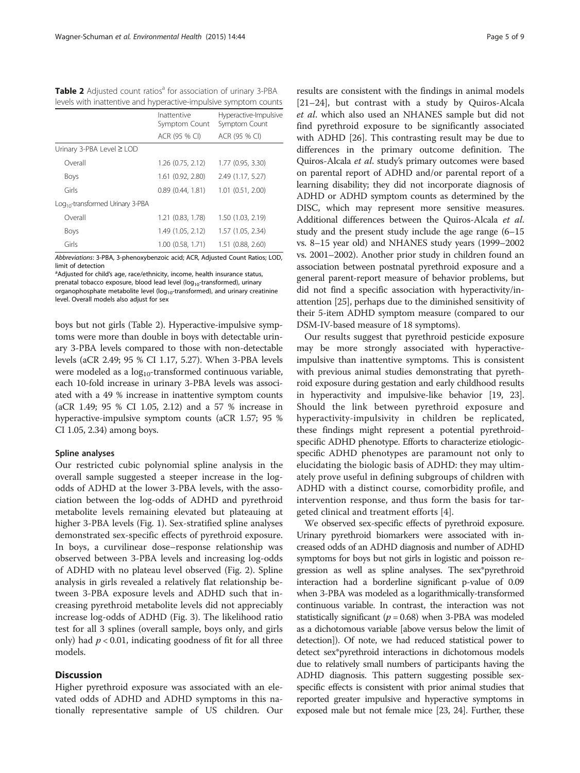<span id="page-4-0"></span>Table 2 Adjusted count ratios<sup>a</sup> for association of urinary 3-PBA levels with inattentive and hyperactive-impulsive symptom counts

|                                    | Inattentive<br>Symptom Count | Hyperactive-Impulsive<br>Symptom Count |  |  |
|------------------------------------|------------------------------|----------------------------------------|--|--|
|                                    | ACR (95 % CI)                | ACR (95 % CI)                          |  |  |
| Urinary 3-PBA Level $\geq$ LOD     |                              |                                        |  |  |
| Overall                            | 1.26 (0.75, 2.12)            | 1.77 (0.95, 3.30)                      |  |  |
| <b>Boys</b>                        | 1.61(0.92, 2.80)             | 2.49 (1.17, 5.27)                      |  |  |
| Girls                              | 0.89(0.44, 1.81)             | 1.01 (0.51, 2.00)                      |  |  |
| $Log10$ -transformed Urinary 3-PBA |                              |                                        |  |  |
| Overall                            | 1.21 (0.83, 1.78)            | 1.50 (1.03, 2.19)                      |  |  |
| <b>Boys</b>                        | 1.49 (1.05, 2.12)            | 1.57 (1.05, 2.34)                      |  |  |
| Girls                              | 1.00 (0.58, 1.71)            | 1.51 (0.88, 2.60)                      |  |  |

Abbreviations: 3-PBA, 3-phenoxybenzoic acid; ACR, Adjusted Count Ratios; LOD, limit of detection

<sup>a</sup>Adjusted for child's age, race/ethnicity, income, health insurance status,

prenatal tobacco exposure, blood lead level ( $log_{10}$ -transformed), urinary

organophosphate metabolite level ( $log_{10}$ -transformed), and urinary creatinine level. Overall models also adjust for sex

boys but not girls (Table 2). Hyperactive-impulsive symptoms were more than double in boys with detectable urinary 3-PBA levels compared to those with non-detectable levels (aCR 2.49; 95 % CI 1.17, 5.27). When 3-PBA levels were modeled as a log<sub>10</sub>-transformed continuous variable, each 10-fold increase in urinary 3-PBA levels was associated with a 49 % increase in inattentive symptom counts (aCR 1.49; 95 % CI 1.05, 2.12) and a 57 % increase in hyperactive-impulsive symptom counts (aCR 1.57; 95 % CI 1.05, 2.34) among boys.

# Spline analyses

Our restricted cubic polynomial spline analysis in the overall sample suggested a steeper increase in the logodds of ADHD at the lower 3-PBA levels, with the association between the log-odds of ADHD and pyrethroid metabolite levels remaining elevated but plateauing at higher 3-PBA levels (Fig. [1\)](#page-5-0). Sex-stratified spline analyses demonstrated sex-specific effects of pyrethroid exposure. In boys, a curvilinear dose–response relationship was observed between 3-PBA levels and increasing log-odds of ADHD with no plateau level observed (Fig. [2\)](#page-5-0). Spline analysis in girls revealed a relatively flat relationship between 3-PBA exposure levels and ADHD such that increasing pyrethroid metabolite levels did not appreciably increase log-odds of ADHD (Fig. [3](#page-6-0)). The likelihood ratio test for all 3 splines (overall sample, boys only, and girls only) had  $p < 0.01$ , indicating goodness of fit for all three models.

# **Discussion**

Higher pyrethroid exposure was associated with an elevated odds of ADHD and ADHD symptoms in this nationally representative sample of US children. Our

results are consistent with the findings in animal models [[21](#page-8-0)–[24](#page-8-0)], but contrast with a study by Quiros-Alcala et al. which also used an NHANES sample but did not find pyrethroid exposure to be significantly associated with ADHD [[26\]](#page-8-0). This contrasting result may be due to differences in the primary outcome definition. The Quiros-Alcala et al. study's primary outcomes were based on parental report of ADHD and/or parental report of a learning disability; they did not incorporate diagnosis of ADHD or ADHD symptom counts as determined by the DISC, which may represent more sensitive measures. Additional differences between the Quiros-Alcala et al. study and the present study include the age range (6–15 vs. 8–15 year old) and NHANES study years (1999–2002 vs. 2001–2002). Another prior study in children found an association between postnatal pyrethroid exposure and a general parent-report measure of behavior problems, but did not find a specific association with hyperactivity/inattention [[25](#page-8-0)], perhaps due to the diminished sensitivity of their 5-item ADHD symptom measure (compared to our DSM-IV-based measure of 18 symptoms).

Our results suggest that pyrethroid pesticide exposure may be more strongly associated with hyperactiveimpulsive than inattentive symptoms. This is consistent with previous animal studies demonstrating that pyrethroid exposure during gestation and early childhood results in hyperactivity and impulsive-like behavior [\[19, 23](#page-8-0)]. Should the link between pyrethroid exposure and hyperactivity-impulsivity in children be replicated, these findings might represent a potential pyrethroidspecific ADHD phenotype. Efforts to characterize etiologicspecific ADHD phenotypes are paramount not only to elucidating the biologic basis of ADHD: they may ultimately prove useful in defining subgroups of children with ADHD with a distinct course, comorbidity profile, and intervention response, and thus form the basis for targeted clinical and treatment efforts [[4\]](#page-7-0).

We observed sex-specific effects of pyrethroid exposure. Urinary pyrethroid biomarkers were associated with increased odds of an ADHD diagnosis and number of ADHD symptoms for boys but not girls in logistic and poisson regression as well as spline analyses. The sex\*pyrethroid interaction had a borderline significant p-value of 0.09 when 3-PBA was modeled as a logarithmically-transformed continuous variable. In contrast, the interaction was not statistically significant ( $p = 0.68$ ) when 3-PBA was modeled as a dichotomous variable [above versus below the limit of detection]). Of note, we had reduced statistical power to detect sex\*pyrethroid interactions in dichotomous models due to relatively small numbers of participants having the ADHD diagnosis. This pattern suggesting possible sexspecific effects is consistent with prior animal studies that reported greater impulsive and hyperactive symptoms in exposed male but not female mice [[23](#page-8-0), [24](#page-8-0)]. Further, these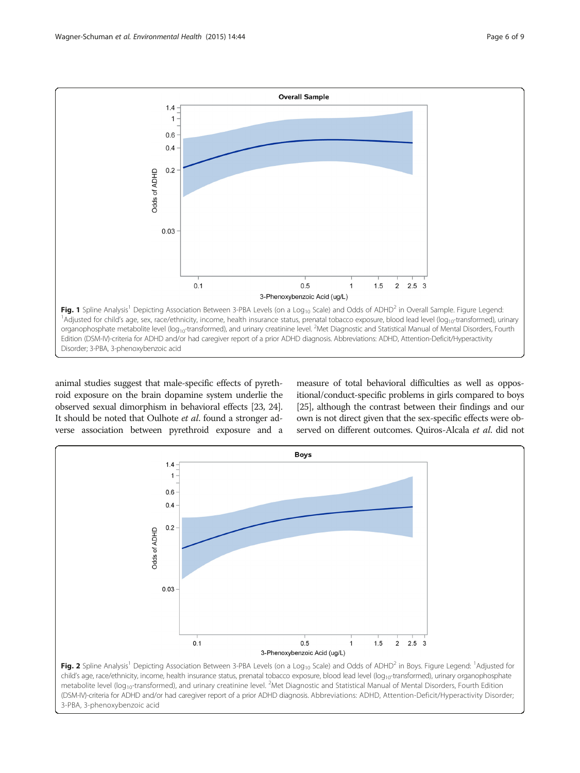<span id="page-5-0"></span>

animal studies suggest that male-specific effects of pyrethroid exposure on the brain dopamine system underlie the observed sexual dimorphism in behavioral effects [\[23](#page-8-0), [24](#page-8-0)]. It should be noted that Oulhote et al. found a stronger adverse association between pyrethroid exposure and a measure of total behavioral difficulties as well as oppositional/conduct-specific problems in girls compared to boys [[25](#page-8-0)], although the contrast between their findings and our own is not direct given that the sex-specific effects were observed on different outcomes. Quiros-Alcala et al. did not

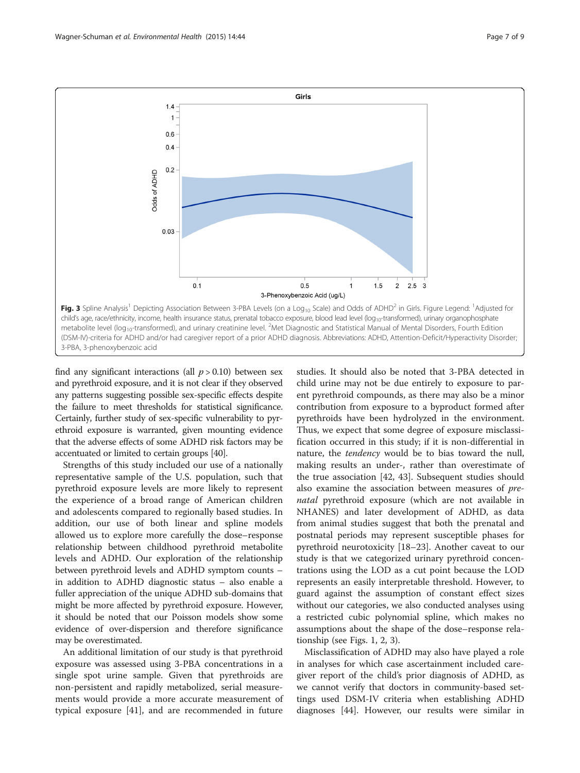<span id="page-6-0"></span>

find any significant interactions (all  $p > 0.10$ ) between sex and pyrethroid exposure, and it is not clear if they observed any patterns suggesting possible sex-specific effects despite the failure to meet thresholds for statistical significance. Certainly, further study of sex-specific vulnerability to pyrethroid exposure is warranted, given mounting evidence that the adverse effects of some ADHD risk factors may be accentuated or limited to certain groups [\[40\]](#page-8-0).

Strengths of this study included our use of a nationally representative sample of the U.S. population, such that pyrethroid exposure levels are more likely to represent the experience of a broad range of American children and adolescents compared to regionally based studies. In addition, our use of both linear and spline models allowed us to explore more carefully the dose–response relationship between childhood pyrethroid metabolite levels and ADHD. Our exploration of the relationship between pyrethroid levels and ADHD symptom counts – in addition to ADHD diagnostic status – also enable a fuller appreciation of the unique ADHD sub-domains that might be more affected by pyrethroid exposure. However, it should be noted that our Poisson models show some evidence of over-dispersion and therefore significance may be overestimated.

An additional limitation of our study is that pyrethroid exposure was assessed using 3-PBA concentrations in a single spot urine sample. Given that pyrethroids are non-persistent and rapidly metabolized, serial measurements would provide a more accurate measurement of typical exposure [[41\]](#page-8-0), and are recommended in future

studies. It should also be noted that 3-PBA detected in child urine may not be due entirely to exposure to parent pyrethroid compounds, as there may also be a minor contribution from exposure to a byproduct formed after pyrethroids have been hydrolyzed in the environment. Thus, we expect that some degree of exposure misclassification occurred in this study; if it is non-differential in nature, the tendency would be to bias toward the null, making results an under-, rather than overestimate of the true association [[42](#page-8-0), [43](#page-8-0)]. Subsequent studies should also examine the association between measures of prenatal pyrethroid exposure (which are not available in NHANES) and later development of ADHD, as data from animal studies suggest that both the prenatal and postnatal periods may represent susceptible phases for pyrethroid neurotoxicity [[18](#page-8-0)–[23](#page-8-0)]. Another caveat to our study is that we categorized urinary pyrethroid concentrations using the LOD as a cut point because the LOD represents an easily interpretable threshold. However, to guard against the assumption of constant effect sizes without our categories, we also conducted analyses using a restricted cubic polynomial spline, which makes no assumptions about the shape of the dose–response relationship (see Figs. [1, 2,](#page-5-0) 3).

Misclassification of ADHD may also have played a role in analyses for which case ascertainment included caregiver report of the child's prior diagnosis of ADHD, as we cannot verify that doctors in community-based settings used DSM-IV criteria when establishing ADHD diagnoses [\[44](#page-8-0)]. However, our results were similar in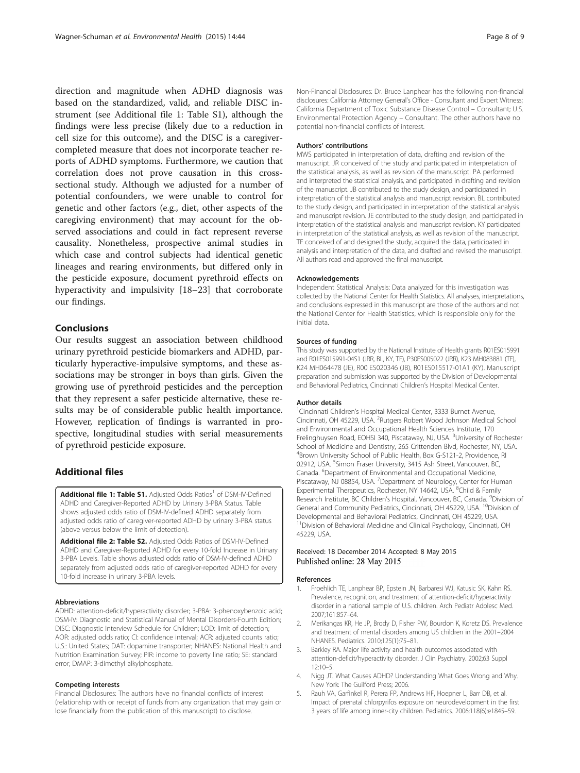<span id="page-7-0"></span>direction and magnitude when ADHD diagnosis was based on the standardized, valid, and reliable DISC instrument (see Additional file 1: Table S1), although the findings were less precise (likely due to a reduction in cell size for this outcome), and the DISC is a caregivercompleted measure that does not incorporate teacher reports of ADHD symptoms. Furthermore, we caution that correlation does not prove causation in this crosssectional study. Although we adjusted for a number of potential confounders, we were unable to control for genetic and other factors (e.g., diet, other aspects of the caregiving environment) that may account for the observed associations and could in fact represent reverse causality. Nonetheless, prospective animal studies in which case and control subjects had identical genetic lineages and rearing environments, but differed only in the pesticide exposure, document pyrethroid effects on hyperactivity and impulsivity [\[18](#page-8-0)–[23](#page-8-0)] that corroborate our findings.

# Conclusions

Our results suggest an association between childhood urinary pyrethroid pesticide biomarkers and ADHD, particularly hyperactive-impulsive symptoms, and these associations may be stronger in boys than girls. Given the growing use of pyrethroid pesticides and the perception that they represent a safer pesticide alternative, these results may be of considerable public health importance. However, replication of findings is warranted in prospective, longitudinal studies with serial measurements of pyrethroid pesticide exposure.

# Additional files

[Additional file 1: Table S1.](http://www.ehjournal.net/content/supplementary/s12940-015-0030-y-s1.docx) Adjusted Odds Ratios<sup>1</sup> of DSM-IV-Defined ADHD and Caregiver-Reported ADHD by Urinary 3-PBA Status. Table shows adjusted odds ratio of DSM-IV-defined ADHD separately from adjusted odds ratio of caregiver-reported ADHD by urinary 3-PBA status (above versus below the limit of detection).

[Additional file 2: Table S2.](http://www.ehjournal.net/content/supplementary/s12940-015-0030-y-s2.docx) Adjusted Odds Ratios of DSM-IV-Defined ADHD and Caregiver-Reported ADHD for every 10-fold Increase in Urinary 3-PBA Levels. Table shows adjusted odds ratio of DSM-IV-defined ADHD separately from adjusted odds ratio of caregiver-reported ADHD for every 10-fold increase in urinary 3-PBA levels.

#### Abbreviations

ADHD: attention-deficit/hyperactivity disorder; 3-PBA: 3-phenoxybenzoic acid; DSM-IV: Diagnostic and Statistical Manual of Mental Disorders-Fourth Edition; DISC: Diagnostic Interview Schedule for Children; LOD: limit of detection; AOR: adjusted odds ratio; CI: confidence interval; ACR: adjusted counts ratio; U.S.: United States; DAT: dopamine transporter; NHANES: National Health and Nutrition Examination Survey; PIR: income to poverty line ratio; SE: standard error; DMAP: 3-dimethyl alkylphosphate.

#### Competing interests

Financial Disclosures: The authors have no financial conflicts of interest (relationship with or receipt of funds from any organization that may gain or lose financially from the publication of this manuscript) to disclose.

Non-Financial Disclosures: Dr. Bruce Lanphear has the following non-financial disclosures: California Attorney General's Office - Consultant and Expert Witness; California Department of Toxic Substance Disease Control – Consultant; U.S. Environmental Protection Agency – Consultant. The other authors have no potential non-financial conflicts of interest.

#### Authors' contributions

MWS participated in interpretation of data, drafting and revision of the manuscript. JR conceived of the study and participated in interpretation of the statistical analysis, as well as revision of the manuscript. PA performed and interpreted the statistical analysis, and participated in drafting and revision of the manuscript. JB contributed to the study design, and participated in interpretation of the statistical analysis and manuscript revision. BL contributed to the study design, and participated in interpretation of the statistical analysis and manuscript revision. JE contributed to the study design, and participated in interpretation of the statistical analysis and manuscript revision. KY participated in interpretation of the statistical analysis, as well as revision of the manuscript. TF conceived of and designed the study, acquired the data, participated in analysis and interpretation of the data, and drafted and revised the manuscript. All authors read and approved the final manuscript.

### Acknowledgements

Independent Statistical Analysis: Data analyzed for this investigation was collected by the National Center for Health Statistics. All analyses, interpretations, and conclusions expressed in this manuscript are those of the authors and not the National Center for Health Statistics, which is responsible only for the initial data.

#### Sources of funding

This study was supported by the National Institute of Health grants R01ES015991 and R01ES015991-04S1 (JRR, BL, KY, TF), P30ES005022 (JRR), K23 MH083881 (TF), K24 MH064478 (JE), R00 ES020346 (JB), R01ES015517-01A1 (KY). Manuscript preparation and submission was supported by the Division of Developmental and Behavioral Pediatrics, Cincinnati Children's Hospital Medical Center.

#### Author details

<sup>1</sup> Cincinnati Children's Hospital Medical Center, 3333 Burnet Avenue Cincinnati, OH 45229, USA. <sup>2</sup>Rutgers Robert Wood Johnson Medical School and Environmental and Occupational Health Sciences Institute, 170 Frelinghuysen Road, EOHSI 340, Piscataway, NJ, USA. <sup>3</sup>University of Rochester School of Medicine and Dentistry, 265 Crittenden Blvd, Rochester, NY, USA. 4 Brown University School of Public Health, Box G-S121-2, Providence, RI 02912, USA. <sup>5</sup>Simon Fraser University, 3415 Ash Street, Vancouver, BC, Canada. <sup>6</sup>Department of Environmental and Occupational Medicine, Piscataway, NJ 08854, USA. <sup>7</sup>Department of Neurology, Center for Human Experimental Therapeutics, Rochester, NY 14642, USA. <sup>8</sup>Child & Family Research Institute, BC Children's Hospital, Vancouver, BC, Canada. <sup>9</sup>Division of General and Community Pediatrics, Cincinnati, OH 45229, USA. <sup>10</sup>Division of Developmental and Behavioral Pediatrics, Cincinnati, OH 45229, USA. <sup>11</sup>Division of Behavioral Medicine and Clinical Psychology, Cincinnati, OH 45229, USA.

# Received: 18 December 2014 Accepted: 8 May 2015 Published online: 28 May 2015

# References

- 1. Froehlich TE, Lanphear BP, Epstein JN, Barbaresi WJ, Katusic SK, Kahn RS. Prevalence, recognition, and treatment of attention-deficit/hyperactivity disorder in a national sample of U.S. children. Arch Pediatr Adolesc Med. 2007;161:857–64.
- 2. Merikangas KR, He JP, Brody D, Fisher PW, Bourdon K, Koretz DS. Prevalence and treatment of mental disorders among US children in the 2001–2004 NHANES. Pediatrics. 2010;125(1):75–81.
- 3. Barkley RA. Major life activity and health outcomes associated with attention-deficit/hyperactivity disorder. J Clin Psychiatry. 2002;63 Suppl 12:10–5.
- 4. Nigg JT. What Causes ADHD? Understanding What Goes Wrong and Why. New York: The Guilford Press; 2006.
- 5. Rauh VA, Garfinkel R, Perera FP, Andrews HF, Hoepner L, Barr DB, et al. Impact of prenatal chlorpyrifos exposure on neurodevelopment in the first 3 years of life among inner-city children. Pediatrics. 2006;118(6):e1845–59.